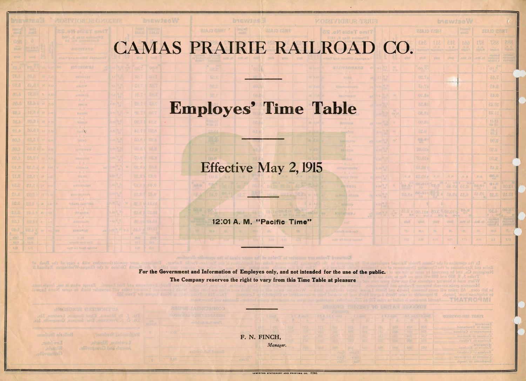## CAMAS PRAIRIE RAILROAD CO

**byswize** 

SBAJO URIHIT | Image

**FIRST SUBDIVISION** 

Time Table No. 25

MNBBOL

**YEW COOP** 

**NUTSIWA** 

solf off beed Faxs

## Employes' Time Table

**BEAJS TESTE** 

## Effective May 2, 1915

12:01 A. M. "Pacific Time"

and provide themselves with a copy of the Book of A District of the Oregon-Washington Railroad &

**MORIVIONUS CLOSSE** 

S.oM elecT omiT

**RATCHEL**  $- h + 2$ 

文山道

 $-0.7$ 

THING.

**FREAM JANTYME** 

 $-0.4-$ 

amagia

7 16.37 5.08

RA b

4.19

**MOLE** 

11.8

88.0 1 pt

19.0 || or

CO.3 1 or

83,3 1 at

1-88.83 at

70 3 5.89 no \$5.25

70 | 5.13

5月11日 四卡

 $[112]$ 

For the Government and Information of Employes only. and not intended for the use of the public. The Company reserves the right to vary from this Time Table at pleasure

Fort Lapwis. Kxcept when in use, details mus

TO.8 1 00.8

80.0141.00

byswteeW

**SMONDRUS CHEMOHTUA** 

Bulletin Stations

Lewiston Grwadiy Joseph and Grangeville.

F. N. FINCH, *Manager.* 

LEWISTON STATIONERY AND PRINTING CO. 11866

Eastward Trains are superior to Trains of the same class in the

|              |                         |                                 | <b>biswizeW</b> |                                         |                               |                                      |                                   |  |
|--------------|-------------------------|---------------------------------|-----------------|-----------------------------------------|-------------------------------|--------------------------------------|-----------------------------------|--|
|              |                         | FIRST CLASS                     |                 | <b>Becomo</b><br><b>E1sl3</b>           |                               | <b>THIRD CLASS</b>                   |                                   |  |
|              | 343<br>Passagenzin      | 311<br>9. 另<br><b>NESTAREER</b> | 818<br>N. N.    | 199<br>$\frac{\sqrt{N}}{2M\ln\log N^2}$ | 178<br><b>N<sub>O</sub>P</b>  | 857<br>idgle:                        | 388<br>$\frac{q}{m\sin n}$        |  |
|              | vind.                   | visa                            | inua            | Es.Man.                                 | Ex. Bon.                      | Sup Land<br>Tuesdays                 | apolskán)<br>syntami              |  |
|              | <b>oo.</b> Ki           |                                 |                 |                                         | y.                            | $01\frac{m}{k}$                      |                                   |  |
|              | 87.20                   |                                 |                 |                                         |                               | 7.45                                 |                                   |  |
|              | 57.15                   |                                 |                 |                                         |                               | 8.45                                 |                                   |  |
|              | 01.82                   |                                 |                 |                                         |                               | BA.C                                 |                                   |  |
|              | 68.82                   |                                 |                 |                                         |                               | 10.45                                |                                   |  |
|              | 88.50                   |                                 |                 |                                         |                               | 11.25                                |                                   |  |
|              | 00.03                   |                                 |                 |                                         |                               | $10.81$<br>$00.21$                   |                                   |  |
|              | 82.6                    |                                 |                 |                                         |                               | 01.1                                 |                                   |  |
|              | <b>BB.01</b>            |                                 |                 |                                         |                               | 00.2                                 |                                   |  |
|              | SO.OT.                  |                                 |                 |                                         |                               | <b>OR.E</b>                          |                                   |  |
|              | T0,01g                  |                                 |                 |                                         |                               | 08.8                                 |                                   |  |
|              | 81.018                  |                                 |                 |                                         |                               | 2.45                                 |                                   |  |
| 图,号          | sr.01a<br><b>EB.014</b> | $\mathbb{N},\mathbb{P}.$        | 图,是<br>1 163 1  | 四段<br>$N\Delta$                         | $\mathbb{N}$ . $\mathbb{P}$ . | 3.58<br>81.8                         |                                   |  |
|              | <b>ITH</b><br>86.018    | 2.27<br>聽意                      | 6.10 39.40      |                                         | OLOL                          | 115                                  | 12.05                             |  |
| a.Re         | 518                     |                                 |                 | 6.15 39.45                              | <b>767.42</b><br>m            | 3,25                                 | 12.10                             |  |
|              |                         | 80.8 <sup>8</sup>               | 01.01           | 6,45                                    |                               | 01.5                                 | OD.ST                             |  |
|              | 00.118<br><b>Hin</b>    | $-884$                          | $A = 1.84464$   | $\overline{1}$                          |                               | $-114$                               | $\mathbb{R}$<br>system            |  |
| <b>Datiy</b> | vile 0                  | <b>MiniT</b>                    | <b>Vitadi</b>   |                                         | Yr. Mob.   Ex. Mon.           | Euchings<br>Two rubiya<br>A Friday's | <b>SVICE FIELD</b><br>n gebiend i |  |
| m.           | 00.5                    | 82.1                            | Obs             | EE.                                     | ao.                           | 00.0                                 | 25.                               |  |
| 225          | 2.21                    | Lot                             | 0.0%            | t.vr                                    | $-8.01$                       | 6.8                                  | V.TE                              |  |

Rules and Regulations of Navigation Co IIA . nsgo fisi sd -TMATROSMI

| Disna 5 1-2-3-4 F-F |      | FOISIVID-HUS TERIT               |
|---------------------|------|----------------------------------|
| R                   | A    |                                  |
| 日加升                 | 005  | Eastward<br>Joseph to Sweetwater |
| 02a                 | 002  | Sweetwater to Cubbers            |
| <b>CAVE</b>         | 02.5 | Culdesse to Renbens              |
| 008                 | 028  | Reubens to Vollmer.              |
| 002                 | 030  | banwses W<br>Vollmer to Reubent  |
|                     |      | Renbens to Cultural              |
|                     |      | Culcence to Sweetwater           |
|                     |      | Swedenster to Jessel             |